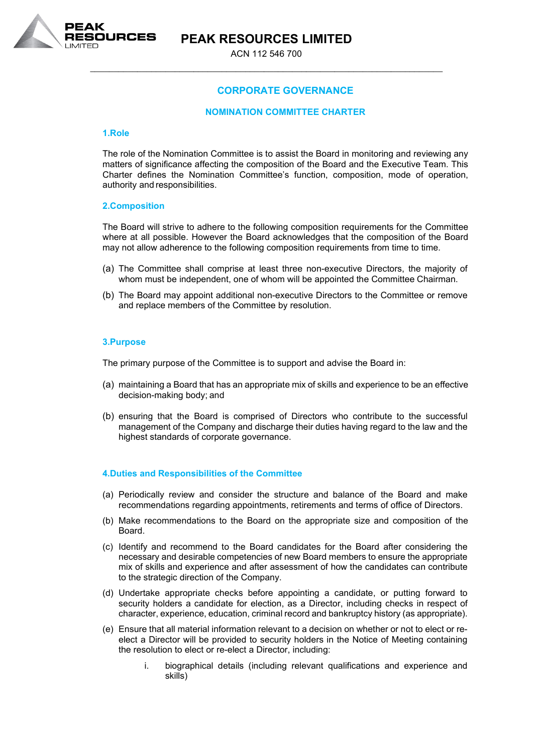

## **PEAK RESOURCES LIMITED**

ACN 112 546 700 \_\_\_\_\_\_\_\_\_\_\_\_\_\_\_\_\_\_\_\_\_\_\_\_\_\_\_\_\_\_\_\_\_\_\_\_\_\_\_\_\_\_\_\_\_\_\_\_\_\_\_\_\_\_\_\_\_\_\_\_\_\_\_\_\_\_\_\_\_\_\_\_\_\_\_

### **CORPORATE GOVERNANCE**

#### **NOMINATION COMMITTEE CHARTER**

#### **1.Role**

The role of the Nomination Committee is to assist the Board in monitoring and reviewing any matters of significance affecting the composition of the Board and the Executive Team. This Charter defines the Nomination Committee's function, composition, mode of operation, authority and responsibilities.

#### **2.Composition**

The Board will strive to adhere to the following composition requirements for the Committee where at all possible. However the Board acknowledges that the composition of the Board may not allow adherence to the following composition requirements from time to time.

- (a) The Committee shall comprise at least three non-executive Directors, the majority of whom must be independent, one of whom will be appointed the Committee Chairman.
- (b) The Board may appoint additional non-executive Directors to the Committee or remove and replace members of the Committee by resolution.

#### **3.Purpose**

The primary purpose of the Committee is to support and advise the Board in:

- (a) maintaining a Board that has an appropriate mix of skills and experience to be an effective decision-making body; and
- (b) ensuring that the Board is comprised of Directors who contribute to the successful management of the Company and discharge their duties having regard to the law and the highest standards of corporate governance.

#### **4.Duties and Responsibilities of the Committee**

- (a) Periodically review and consider the structure and balance of the Board and make recommendations regarding appointments, retirements and terms of office of Directors.
- (b) Make recommendations to the Board on the appropriate size and composition of the Board.
- (c) Identify and recommend to the Board candidates for the Board after considering the necessary and desirable competencies of new Board members to ensure the appropriate mix of skills and experience and after assessment of how the candidates can contribute to the strategic direction of the Company.
- (d) Undertake appropriate checks before appointing a candidate, or putting forward to security holders a candidate for election, as a Director, including checks in respect of character, experience, education, criminal record and bankruptcy history (as appropriate).
- (e) Ensure that all material information relevant to a decision on whether or not to elect or reelect a Director will be provided to security holders in the Notice of Meeting containing the resolution to elect or re-elect a Director, including:
	- i. biographical details (including relevant qualifications and experience and skills)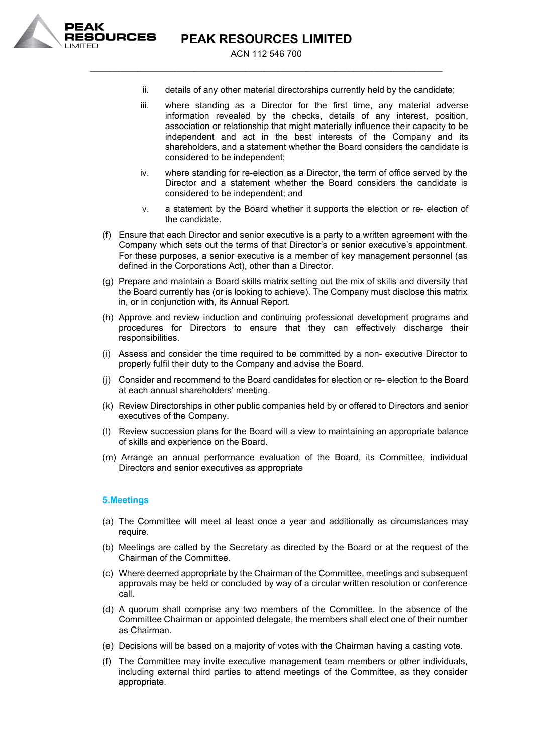

**PEAK RESOURCES LIMITED**

ACN 112 546 700 \_\_\_\_\_\_\_\_\_\_\_\_\_\_\_\_\_\_\_\_\_\_\_\_\_\_\_\_\_\_\_\_\_\_\_\_\_\_\_\_\_\_\_\_\_\_\_\_\_\_\_\_\_\_\_\_\_\_\_\_\_\_\_\_\_\_\_\_\_\_\_\_\_\_\_

- ii. details of any other material directorships currently held by the candidate;
- iii. where standing as a Director for the first time, any material adverse information revealed by the checks, details of any interest, position, association or relationship that might materially influence their capacity to be independent and act in the best interests of the Company and its shareholders, and a statement whether the Board considers the candidate is considered to be independent;
- iv. where standing for re-election as a Director, the term of office served by the Director and a statement whether the Board considers the candidate is considered to be independent; and
- v. a statement by the Board whether it supports the election or re- election of the candidate.
- (f) Ensure that each Director and senior executive is a party to a written agreement with the Company which sets out the terms of that Director's or senior executive's appointment. For these purposes, a senior executive is a member of key management personnel (as defined in the Corporations Act), other than a Director.
- (g) Prepare and maintain a Board skills matrix setting out the mix of skills and diversity that the Board currently has (or is looking to achieve). The Company must disclose this matrix in, or in conjunction with, its Annual Report.
- (h) Approve and review induction and continuing professional development programs and procedures for Directors to ensure that they can effectively discharge their responsibilities.
- (i) Assess and consider the time required to be committed by a non- executive Director to properly fulfil their duty to the Company and advise the Board.
- (j) Consider and recommend to the Board candidates for election or re- election to the Board at each annual shareholders' meeting.
- (k) Review Directorships in other public companies held by or offered to Directors and senior executives of the Company.
- (l) Review succession plans for the Board will a view to maintaining an appropriate balance of skills and experience on the Board.
- (m) Arrange an annual performance evaluation of the Board, its Committee, individual Directors and senior executives as appropriate

#### **5.Meetings**

- (a) The Committee will meet at least once a year and additionally as circumstances may require.
- (b) Meetings are called by the Secretary as directed by the Board or at the request of the Chairman of the Committee.
- (c) Where deemed appropriate by the Chairman of the Committee, meetings and subsequent approvals may be held or concluded by way of a circular written resolution or conference call.
- (d) A quorum shall comprise any two members of the Committee. In the absence of the Committee Chairman or appointed delegate, the members shall elect one of their number as Chairman.
- (e) Decisions will be based on a majority of votes with the Chairman having a casting vote.
- (f) The Committee may invite executive management team members or other individuals, including external third parties to attend meetings of the Committee, as they consider appropriate.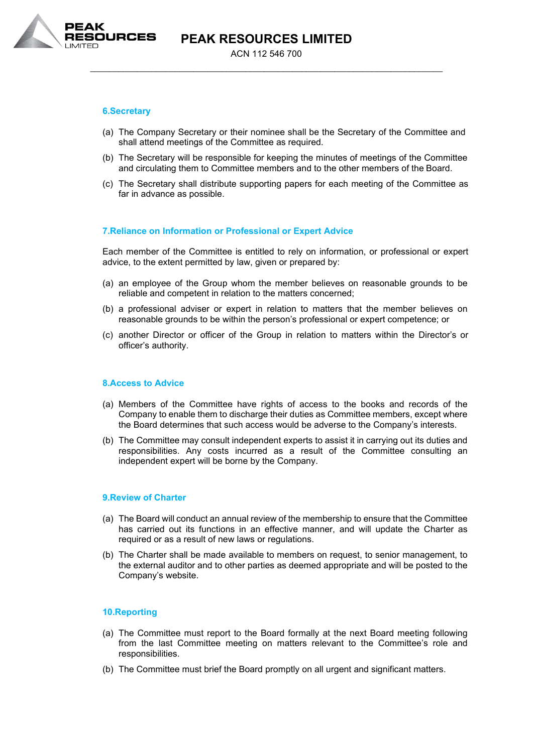

#### **6.Secretary**

- (a) The Company Secretary or their nominee shall be the Secretary of the Committee and shall attend meetings of the Committee as required.
- (b) The Secretary will be responsible for keeping the minutes of meetings of the Committee and circulating them to Committee members and to the other members of the Board.
- (c) The Secretary shall distribute supporting papers for each meeting of the Committee as far in advance as possible.

#### **7.Reliance on Information or Professional or Expert Advice**

Each member of the Committee is entitled to rely on information, or professional or expert advice, to the extent permitted by law, given or prepared by:

- (a) an employee of the Group whom the member believes on reasonable grounds to be reliable and competent in relation to the matters concerned;
- (b) a professional adviser or expert in relation to matters that the member believes on reasonable grounds to be within the person's professional or expert competence; or
- (c) another Director or officer of the Group in relation to matters within the Director's or officer's authority.

#### **8.Access to Advice**

- (a) Members of the Committee have rights of access to the books and records of the Company to enable them to discharge their duties as Committee members, except where the Board determines that such access would be adverse to the Company's interests.
- (b) The Committee may consult independent experts to assist it in carrying out its duties and responsibilities. Any costs incurred as a result of the Committee consulting an independent expert will be borne by the Company.

#### **9.Review of Charter**

- (a) The Board will conduct an annual review of the membership to ensure that the Committee has carried out its functions in an effective manner, and will update the Charter as required or as a result of new laws or regulations.
- (b) The Charter shall be made available to members on request, to senior management, to the external auditor and to other parties as deemed appropriate and will be posted to the Company's website.

#### **10.Reporting**

- (a) The Committee must report to the Board formally at the next Board meeting following from the last Committee meeting on matters relevant to the Committee's role and responsibilities.
- (b) The Committee must brief the Board promptly on all urgent and significant matters.